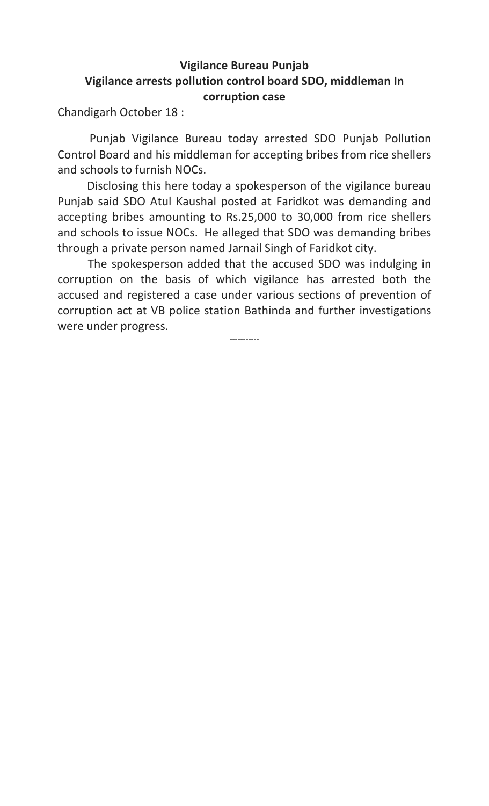## Vigilance Bureau Punjab Vigilance arrests pollution control board SDO, middleman In corruption case

Chandigarh October 18 :

 Punjab Vigilance Bureau today arrested SDO Punjab Pollution Control Board and his middleman for accepting bribes from rice shellers and schools to furnish NOCs.

 Disclosing this here today a spokesperson of the vigilance bureau Punjab said SDO Atul Kaushal posted at Faridkot was demanding and accepting bribes amounting to Rs.25,000 to 30,000 from rice shellers and schools to issue NOCs. He alleged that SDO was demanding bribes through a private person named Jarnail Singh of Faridkot city.

 The spokesperson added that the accused SDO was indulging in corruption on the basis of which vigilance has arrested both the accused and registered a case under various sections of prevention of corruption act at VB police station Bathinda and further investigations were under progress.

-----------